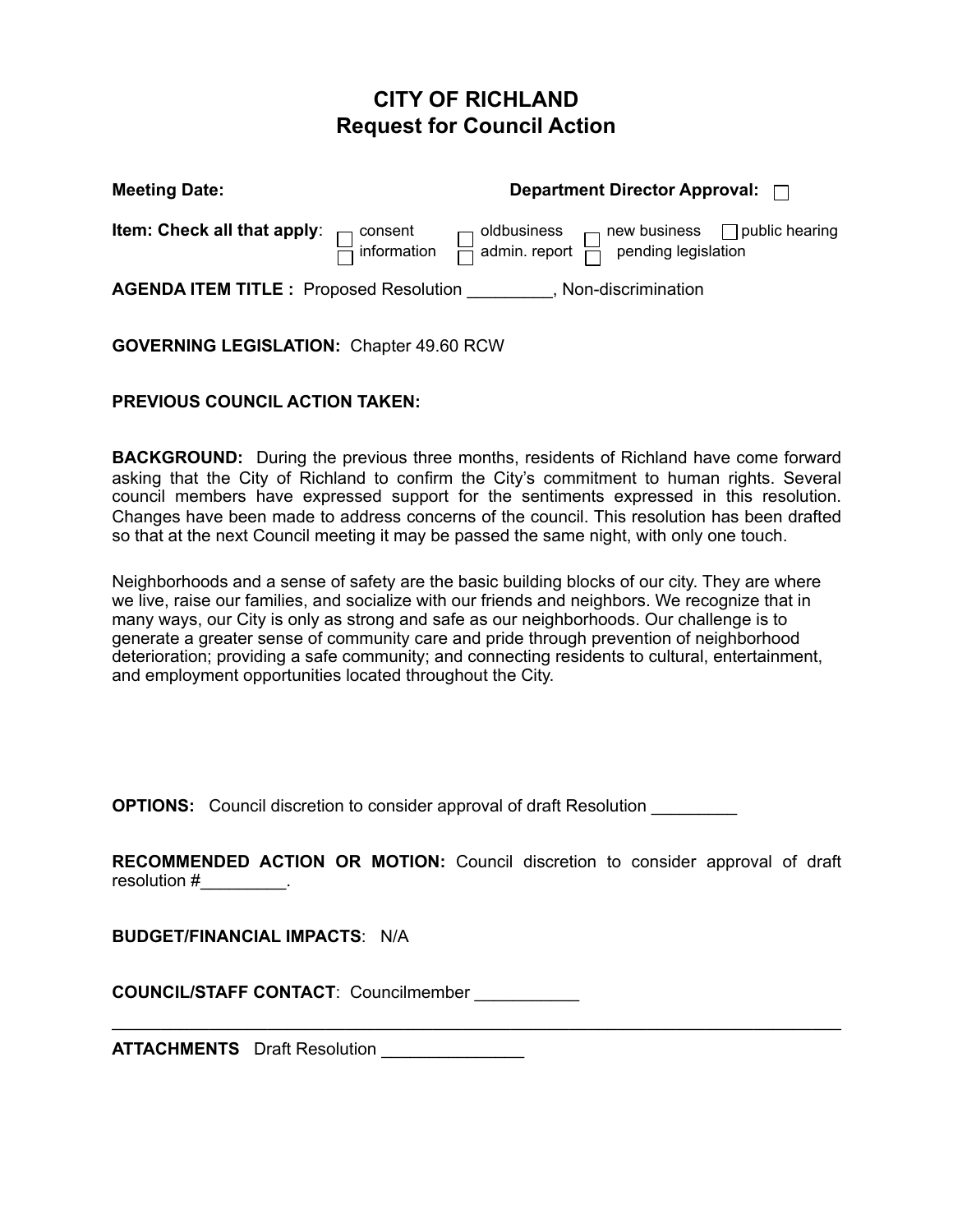## **CITY OF RICHLAND Request for Council Action**

| <b>Meeting Date:</b>                                                          | Department Director Approval: $\Box$                                                                                                                                               |
|-------------------------------------------------------------------------------|------------------------------------------------------------------------------------------------------------------------------------------------------------------------------------|
|                                                                               | <b>Item: Check all that apply</b> : $\Box$ consent $\Box$ oldbusiness $\Box$ new business $\Box$ public hearing $\Box$ information $\Box$ admin. report $\Box$ pending legislation |
| <b>AGENDA ITEM TITLE :</b> Proposed Resolution __________, Non-discrimination |                                                                                                                                                                                    |

**GOVERNING LEGISLATION:** Chapter 49.60 RCW

## **PREVIOUS COUNCIL ACTION TAKEN:**

**BACKGROUND:** During the previous three months, residents of Richland have come forward asking that the City of Richland to confirm the City's commitment to human rights. Several council members have expressed support for the sentiments expressed in this resolution. Changes have been made to address concerns of the council. This resolution has been drafted so that at the next Council meeting it may be passed the same night, with only one touch.

Neighborhoods and a sense of safety are the basic building blocks of our city. They are where we live, raise our families, and socialize with our friends and neighbors. We recognize that in many ways, our City is only as strong and safe as our neighborhoods. Our challenge is to generate a greater sense of community care and pride through prevention of neighborhood deterioration; providing a safe community; and connecting residents to cultural, entertainment, and employment opportunities located throughout the City.

**OPTIONS:** Council discretion to consider approval of draft Resolution

**RECOMMENDED ACTION OR MOTION:** Council discretion to consider approval of draft resolution # The second second second second second second second second second second second second second second second second second second second second second second second second second second second second second se

 $\mathcal{L}_\mathcal{L} = \{ \mathcal{L}_\mathcal{L} = \{ \mathcal{L}_\mathcal{L} = \{ \mathcal{L}_\mathcal{L} = \{ \mathcal{L}_\mathcal{L} = \{ \mathcal{L}_\mathcal{L} = \{ \mathcal{L}_\mathcal{L} = \{ \mathcal{L}_\mathcal{L} = \{ \mathcal{L}_\mathcal{L} = \{ \mathcal{L}_\mathcal{L} = \{ \mathcal{L}_\mathcal{L} = \{ \mathcal{L}_\mathcal{L} = \{ \mathcal{L}_\mathcal{L} = \{ \mathcal{L}_\mathcal{L} = \{ \mathcal{L}_\mathcal{$ 

**BUDGET/FINANCIAL IMPACTS**: N/A

**COUNCIL/STAFF CONTACT**: Councilmember \_\_\_\_\_\_\_\_\_\_\_

**ATTACHMENTS** Draft Resolution \_\_\_\_\_\_\_\_\_\_\_\_\_\_\_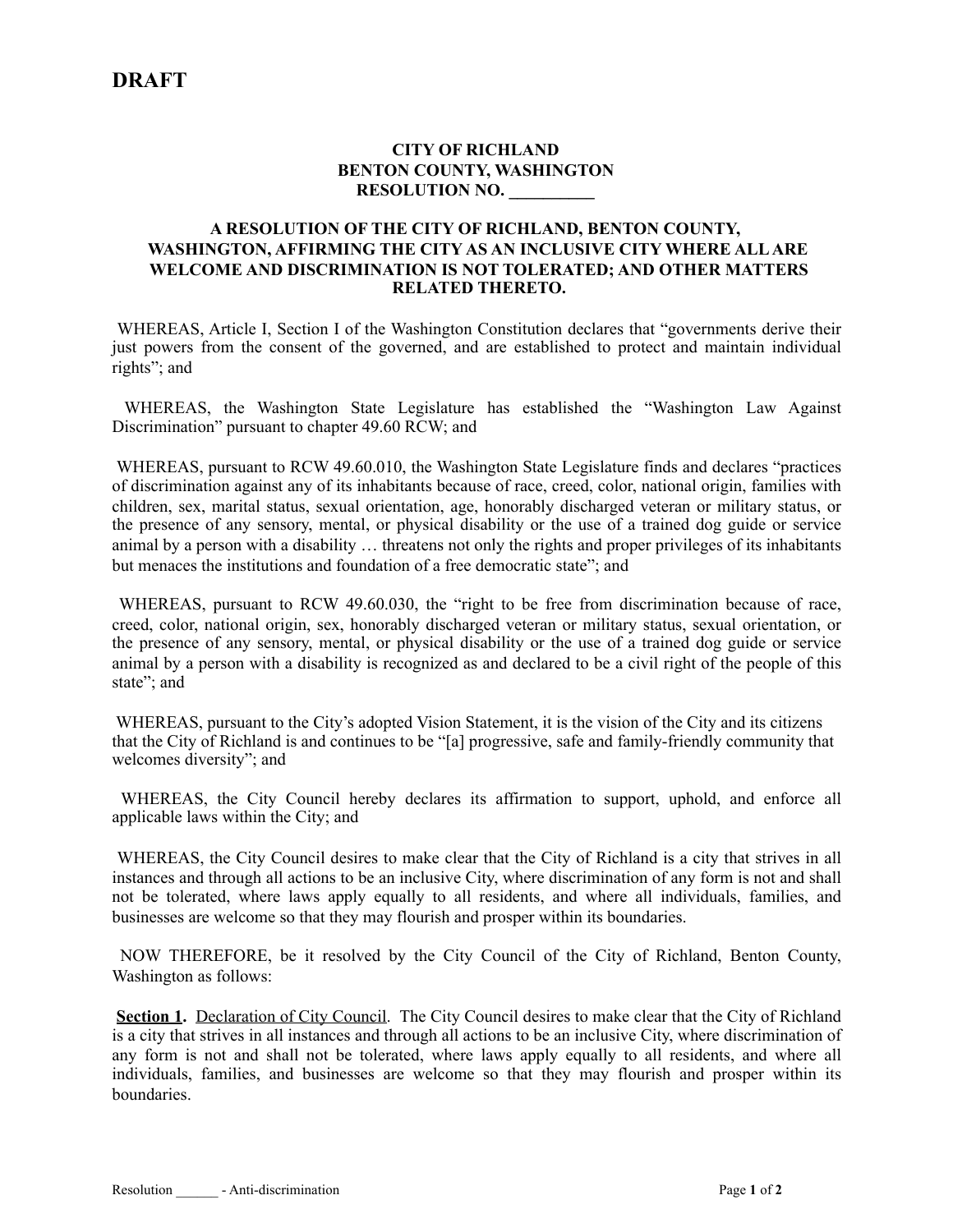## **CITY OF RICHLAND BENTON COUNTY, WASHINGTON RESOLUTION NO. \_\_\_\_\_\_\_\_\_\_**

## **A RESOLUTION OF THE CITY OF RICHLAND, BENTON COUNTY, WASHINGTON, AFFIRMING THE CITY AS AN INCLUSIVE CITY WHERE ALL ARE WELCOME AND DISCRIMINATION IS NOT TOLERATED; AND OTHER MATTERS RELATED THERETO.**

 WHEREAS, Article I, Section I of the Washington Constitution declares that "governments derive their just powers from the consent of the governed, and are established to protect and maintain individual rights"; and

 WHEREAS, the Washington State Legislature has established the "Washington Law Against Discrimination" pursuant to chapter 49.60 RCW; and

 WHEREAS, pursuant to RCW 49.60.010, the Washington State Legislature finds and declares "practices of discrimination against any of its inhabitants because of race, creed, color, national origin, families with children, sex, marital status, sexual orientation, age, honorably discharged veteran or military status, or the presence of any sensory, mental, or physical disability or the use of a trained dog guide or service animal by a person with a disability … threatens not only the rights and proper privileges of its inhabitants but menaces the institutions and foundation of a free democratic state"; and

 WHEREAS, pursuant to RCW 49.60.030, the "right to be free from discrimination because of race, creed, color, national origin, sex, honorably discharged veteran or military status, sexual orientation, or the presence of any sensory, mental, or physical disability or the use of a trained dog guide or service animal by a person with a disability is recognized as and declared to be a civil right of the people of this state"; and

 WHEREAS, pursuant to the City's adopted Vision Statement, it is the vision of the City and its citizens that the City of Richland is and continues to be "[a] progressive, safe and family-friendly community that welcomes diversity"; and

 WHEREAS, the City Council hereby declares its affirmation to support, uphold, and enforce all applicable laws within the City; and

 WHEREAS, the City Council desires to make clear that the City of Richland is a city that strives in all instances and through all actions to be an inclusive City, where discrimination of any form is not and shall not be tolerated, where laws apply equally to all residents, and where all individuals, families, and businesses are welcome so that they may flourish and prosper within its boundaries.

 NOW THEREFORE, be it resolved by the City Council of the City of Richland, Benton County, Washington as follows:

**Section 1.** Declaration of City Council. The City Council desires to make clear that the City of Richland is a city that strives in all instances and through all actions to be an inclusive City, where discrimination of any form is not and shall not be tolerated, where laws apply equally to all residents, and where all individuals, families, and businesses are welcome so that they may flourish and prosper within its boundaries.